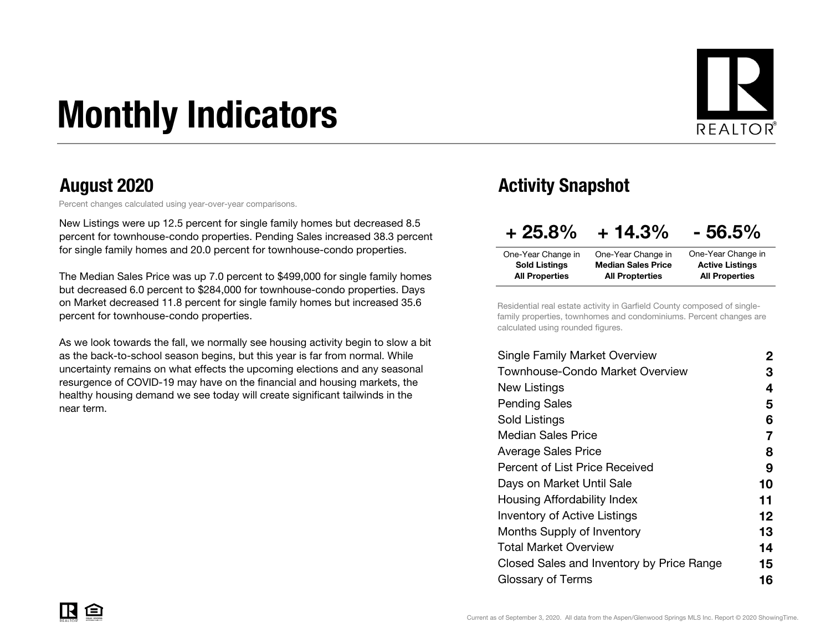# Monthly Indicators



Percent changes calculated using year-over-year comparisons.

New Listings were up 12.5 percent for single family homes but decreased 8.5 percent for townhouse-condo properties. Pending Sales increased 38.3 percent for single family homes and 20.0 percent for townhouse-condo properties.

The Median Sales Price was up 7.0 percent to \$499,000 for single family homes but decreased 6.0 percent to \$284,000 for townhouse-condo properties. Days on Market decreased 11.8 percent for single family homes but increased 35.6 percent for townhouse-condo properties.

As we look towards the fall, we normally see housing activity begin to slow a bit as the back-to-school season begins, but this year is far from normal. While uncertainty remains on what effects the upcoming elections and any seasonal resurgence of COVID-19 may have on the financial and housing markets, the healthy housing demand we see today will create significant tailwinds in the near term.

#### August 2020 **August 2020** Activity Snapshot

| $+25.8%$              | $+14.3%$                  | $-56.5%$               |
|-----------------------|---------------------------|------------------------|
| One-Year Change in    | One-Year Change in        | One-Year Change in     |
| <b>Sold Listings</b>  | <b>Median Sales Price</b> | <b>Active Listings</b> |
| <b>All Properties</b> | <b>All Propterties</b>    | <b>All Properties</b>  |

Residential real estate activity in Garfield County composed of singlefamily properties, townhomes and condominiums. Percent changes are calculated using rounded figures.

| 2  |
|----|
| З  |
| 4  |
| 5  |
| 6  |
| 7  |
| 8  |
| 9  |
| 10 |
| 11 |
| 12 |
| 13 |
| 14 |
| 15 |
| 16 |
|    |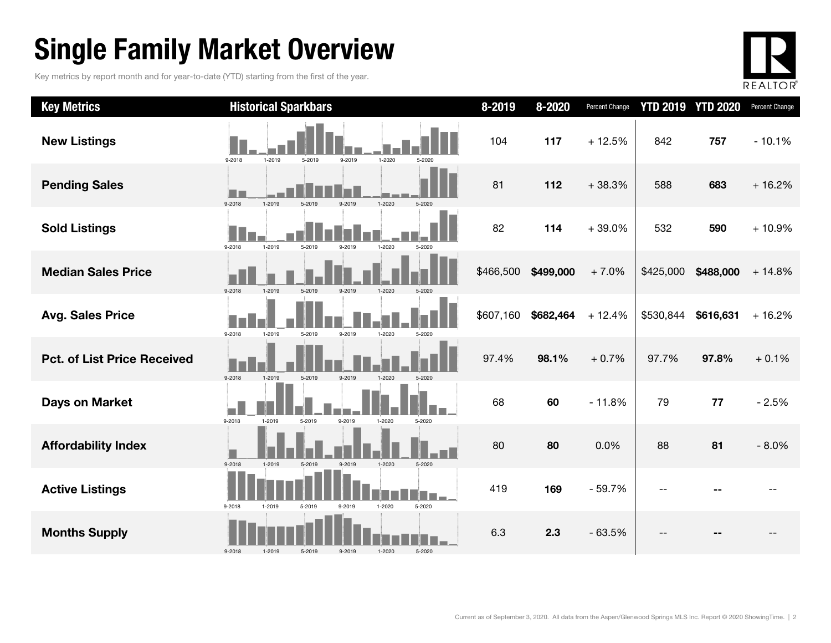### Single Family Market Overview

Key metrics by report month and for year-to-date (YTD) starting from the first of the year.



| <b>Key Metrics</b>                 | <b>Historical Sparkbars</b>                                          | 8-2019    | 8-2020    | Percent Change | <b>YTD 2019</b> | <b>YTD 2020</b> | Percent Change |
|------------------------------------|----------------------------------------------------------------------|-----------|-----------|----------------|-----------------|-----------------|----------------|
| <b>New Listings</b>                | 9-2018<br>1-2019<br>9-2019<br>$1 - 2020$<br>5-2019<br>5-2020         | 104       | 117       | $+12.5%$       | 842             | 757             | $-10.1%$       |
| <b>Pending Sales</b>               | 9-2018<br>1-2019<br>1-2020<br>5-2020<br>5-2019<br>9-2019             | 81        | 112       | $+38.3%$       | 588             | 683             | $+16.2%$       |
| <b>Sold Listings</b>               | $1 - 2019$<br>9-2018<br>5-2019<br>1-2020<br>9-2019<br>5-2020         | 82        | 114       | $+39.0%$       | 532             | 590             | $+10.9%$       |
| <b>Median Sales Price</b>          | $9 - 2018$<br>1-2019<br>5-2019<br>9-2019<br>1-2020<br>5-2020         | \$466,500 | \$499,000 | $+7.0%$        | \$425,000       | \$488,000       | $+14.8%$       |
| <b>Avg. Sales Price</b>            | 9-2018<br>1-2019<br>5-2019<br>9-2019<br>1-2020<br>5-2020             | \$607,160 | \$682,464 | $+12.4%$       | \$530,844       | \$616,631       | $+16.2%$       |
| <b>Pct. of List Price Received</b> | 9-2019<br>9-2018<br>1-2019<br>5-2019<br>1-2020                       | 97.4%     | 98.1%     | $+0.7%$        | 97.7%           | 97.8%           | $+0.1%$        |
| <b>Days on Market</b>              | 5-2019<br>9-2019<br>9-2018<br>1-2019<br>1-2020<br>5-2020             | 68        | 60        | $-11.8%$       | 79              | 77              | $-2.5%$        |
| <b>Affordability Index</b>         | $9 - 2018$<br>1-2019<br>5-2019<br>9-2019<br>$1 - 2020$<br>$5 - 2020$ | 80        | 80        | 0.0%           | 88              | 81              | $-8.0%$        |
| <b>Active Listings</b>             | 9-2018<br>5-2019<br>1-2020<br>5-2020<br>1-2019<br>$9 - 2019$         | 419       | 169       | $-59.7%$       |                 |                 |                |
| <b>Months Supply</b>               | 9-2018<br>1-2019<br>5-2019<br>9-2019<br>1-2020<br>5-2020             | 6.3       | 2.3       | $-63.5%$       |                 |                 |                |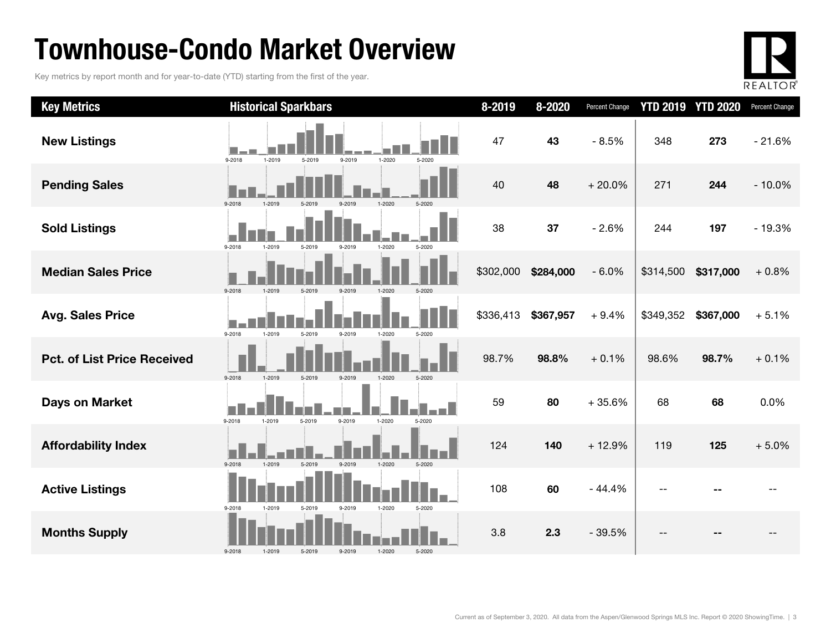### Townhouse-Condo Market Overview

Key metrics by report month and for year-to-date (YTD) starting from the first of the year.



| <b>Key Metrics</b>                 | <b>Historical Sparkbars</b>                                        | 8-2019    | 8-2020    | <b>Percent Change</b> |           | <b>YTD 2019 YTD 2020</b> | Percent Change |
|------------------------------------|--------------------------------------------------------------------|-----------|-----------|-----------------------|-----------|--------------------------|----------------|
| <b>New Listings</b>                | 9-2018<br>1-2019<br>9-2019<br>$1 - 2020$<br>5-2019<br>5-2020       | 47        | 43        | $-8.5%$               | 348       | 273                      | $-21.6%$       |
| <b>Pending Sales</b>               | 9-2018<br>1-2020                                                   | 40        | 48        | $+20.0%$              | 271       | 244                      | $-10.0%$       |
| <b>Sold Listings</b>               | $9 - 2018$<br>1-2019<br>1-2020<br>5-2020<br>5-2019<br>9-2019       | 38        | 37        | $-2.6%$               | 244       | 197                      | $-19.3%$       |
| <b>Median Sales Price</b>          | 9-2018<br>1-2019<br>5-2019<br>$9 - 2019$<br>$1 - 2020$<br>5-2020   | \$302,000 | \$284,000 | $-6.0%$               | \$314,500 | \$317,000                | $+0.8%$        |
| <b>Avg. Sales Price</b>            | $9 - 2018$<br>1-2019<br>5-2019<br>1-2020<br>9-2019<br>5-2020       | \$336,413 | \$367,957 | $+9.4%$               | \$349,352 | \$367,000                | $+5.1%$        |
| <b>Pct. of List Price Received</b> | 9-2018<br>1-2019<br>5-2019<br>9-2019<br>1-2020<br>5-2020           | 98.7%     | 98.8%     | $+0.1%$               | 98.6%     | 98.7%                    | $+0.1%$        |
| <b>Days on Market</b>              | o.<br>9-2018<br>1-2019<br>$1 - 2020$<br>5-2019<br>9-2019<br>5-2020 | 59        | 80        | $+35.6%$              | 68        | 68                       | 0.0%           |
| <b>Affordability Index</b>         | 9-2018<br>1-2019<br>9-2019<br>$1 - 2020$<br>5-2020<br>5-2019       | 124       | 140       | $+12.9%$              | 119       | 125                      | $+5.0%$        |
| <b>Active Listings</b>             | 9-2018<br>1-2019<br>9-2019<br>1-2020<br>5-2020<br>5-2019           | 108       | 60        | $-44.4%$              |           |                          |                |
| <b>Months Supply</b>               | $9 - 2018$<br>1-2019<br>9-2019<br>1-2020<br>5-2020<br>5-2019       | 3.8       | 2.3       | $-39.5%$              |           |                          |                |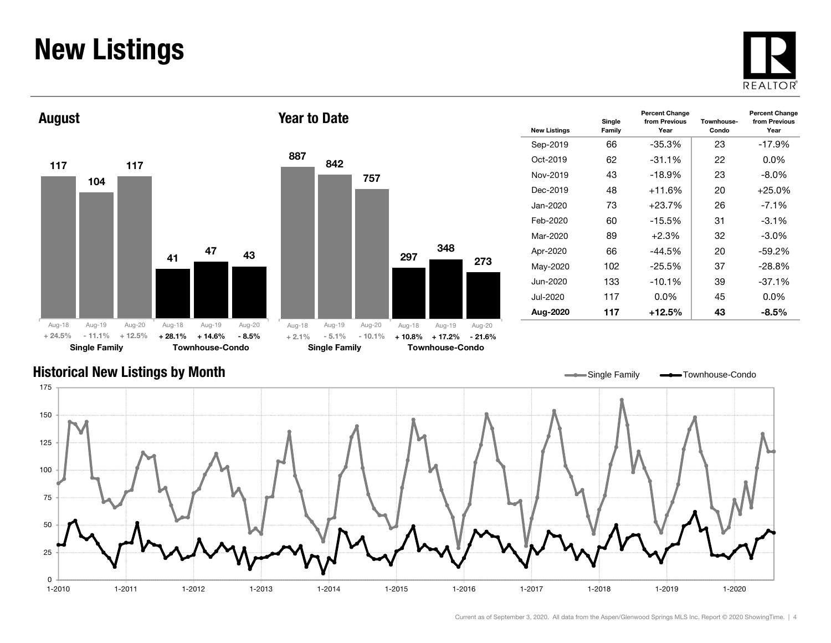#### New Listings







Year to Date

| <b>New Listings</b> | Single<br>Family | <b>Percent Change</b><br>from Previous<br>Year | Townhouse-<br>Condo | <b>Percent Change</b><br>from Previous<br>Year |
|---------------------|------------------|------------------------------------------------|---------------------|------------------------------------------------|
| Sep-2019            | 66               | $-35.3%$                                       | 23                  | $-17.9%$                                       |
| $Oct-2019$          | 62               | $-31.1%$                                       | 22                  | $0.0\%$                                        |
| Nov-2019            | 43               | $-18.9%$                                       | 23                  | $-8.0\%$                                       |
| Dec-2019            | 48               | $+11.6%$                                       | 20                  | $+25.0\%$                                      |
| Jan-2020            | 73               | $+23.7%$                                       | 26                  | $-7.1\%$                                       |
| Feb-2020            | 60               | $-15.5\%$                                      | 31                  | $-3.1\%$                                       |
| Mar-2020            | 89               | $+2.3\%$                                       | 32                  | $-3.0\%$                                       |
| Apr-2020            | 66               | $-44.5%$                                       | 20                  | $-59.2\%$                                      |
| May-2020            | 102              | $-25.5%$                                       | 37                  | $-28.8%$                                       |
| Jun-2020            | 133              | $-10.1%$                                       | 39                  | $-37.1%$                                       |
| Jul-2020            | 117              | $0.0\%$                                        | 45                  | $0.0\%$                                        |
| Aug-2020            | 117              | $+12.5\%$                                      | 43                  | -8.5%                                          |

#### Historical New Listings by Month

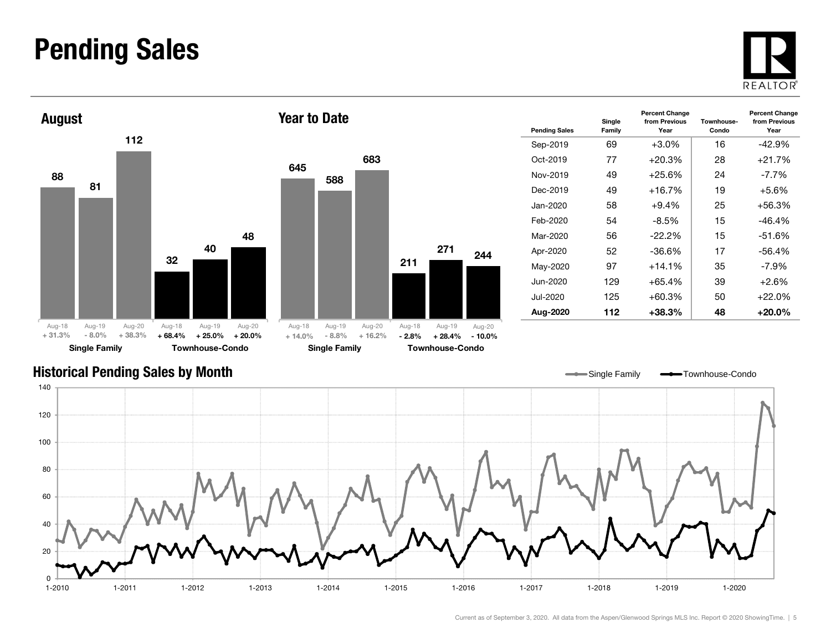#### Pending Sales







Year to Date

| <b>Pending Sales</b> | Single<br>Family | <b>Percent Change</b><br>from Previous<br>Year | Townhouse-<br>Condo | <b>Percent Change</b><br>from Previous<br>Year |
|----------------------|------------------|------------------------------------------------|---------------------|------------------------------------------------|
| Sep-2019             | 69               | $+3.0%$                                        | 16                  | $-42.9%$                                       |
| $Oct-2019$           | 77               | $+20.3%$                                       | 28                  | +21.7%                                         |
| Nov-2019             | 49               | $+25.6%$                                       | 24                  | $-7.7\%$                                       |
| Dec-2019             | 49               | 19                                             | $+5.6\%$            |                                                |
| Jan-2020             | 58               | $+9.4%$                                        | 25                  | +56.3%                                         |
| Feb-2020             | 54               | -8.5%                                          | 15                  | -46.4%                                         |
| Mar-2020             | 56               | $-22.2\%$                                      | 15                  | $-51.6%$                                       |
| Apr-2020             | 52               | $-36.6\%$                                      | 17                  | $-56.4%$                                       |
| May-2020             | 97               | $+14.1%$                                       | 35                  | $-7.9\%$                                       |
| Jun-2020             | 129              | $+65.4%$                                       | 39                  | $+2.6%$                                        |
| Jul-2020             | 125              | $+60.3%$                                       | 50                  | $+22.0\%$                                      |
| Aug-2020             | 112              | +38.3%                                         | 48                  | +20.0%                                         |

Single Family **-**Townhouse-Condo

#### Historical Pending Sales by Month

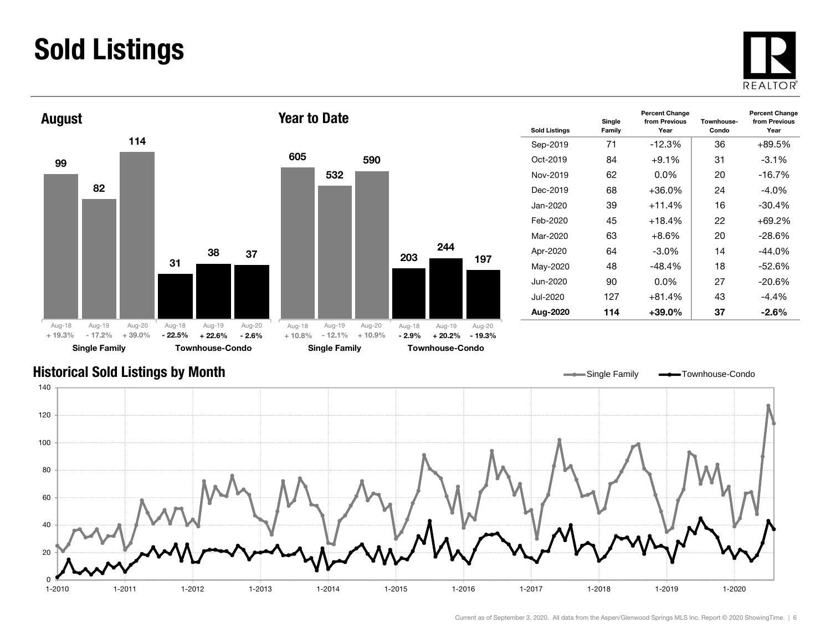### Sold Listings





| <b>Sold Listings</b> | Single<br>Family | <b>Percent Change</b><br>from Previous<br>Year | Townhouse-<br>Condo | <b>Percent Change</b><br>from Previous<br>Year |
|----------------------|------------------|------------------------------------------------|---------------------|------------------------------------------------|
| Sep-2019             | 71               | $-12.3\%$                                      | 36                  | +89.5%                                         |
| $Oct-2019$           | 84               | $+9.1%$                                        | 31                  | $-3.1%$                                        |
| Nov-2019             | 62               | $0.0\%$                                        | 20                  | $-16.7%$                                       |
| Dec-2019             | 68               | +36.0%                                         | 24                  | $-4.0\%$                                       |
| Jan-2020             | 39               | $+11.4%$                                       | 16                  | $-30.4%$                                       |
| Feb-2020             | 45               | $+18.4%$                                       | 22                  | $+69.2%$                                       |
| Mar-2020             | 63               | $+8.6\%$                                       | 20                  | -28.6%                                         |
| Apr-2020             | 64               | $-3.0\%$                                       | 14                  | $-44.0\%$                                      |
| May-2020             | 48               | $-48.4%$                                       | 18                  | $-52.6%$                                       |
| Jun-2020.            | 90               | $0.0\%$                                        | 27                  | $-20.6%$                                       |
| Jul-2020             | 127              | $+81.4%$                                       | 43                  | $-4.4\%$                                       |
| Aug-2020             | 114              | +39.0%                                         | 37                  | $-2.6\%$                                       |

#### Historical Sold Listings by Month

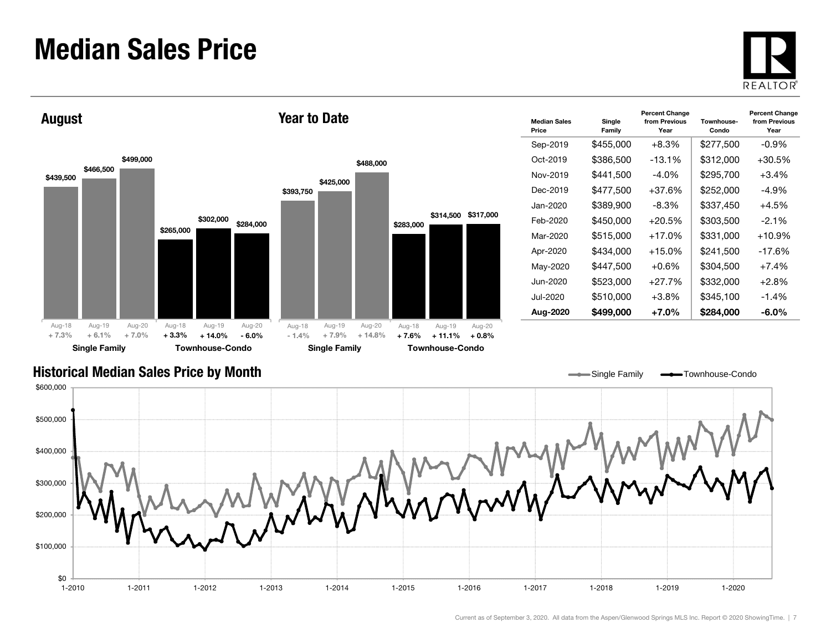#### Median Sales Price





| <b>Median Sales</b><br>Price | Single<br>Family | <b>Percent Change</b><br>from Previous<br>Year | Townhouse-<br>Condo | <b>Percent Change</b><br>from Previous<br>Year |
|------------------------------|------------------|------------------------------------------------|---------------------|------------------------------------------------|
| Sep-2019                     | \$455,000        | +8.3%                                          | \$277,500           | $-0.9\%$                                       |
| Oct-2019                     | \$386,500        | $-13.1%$                                       | \$312,000           | $+30.5%$                                       |
| Nov-2019                     | \$441,500        | -4.0%                                          | \$295,700           | $+3.4%$                                        |
| Dec-2019                     | \$477.500        | $+37.6%$                                       | \$252,000           | -4.9%                                          |
| Jan-2020                     | \$389,900        | $-8.3%$                                        | \$337,450           | $+4.5%$                                        |
| Feb-2020                     | \$450,000        | $+20.5%$                                       | \$303,500           | $-2.1\%$                                       |
| Mar-2020                     | \$515,000        | $+17.0%$                                       | \$331,000           | $+10.9%$                                       |
| Apr-2020                     | \$434.000        | $+15.0%$                                       | \$241,500           | $-17.6\%$                                      |
| May-2020                     | \$447,500        | +0.6%                                          | \$304,500           | $+7.4%$                                        |
| Jun-2020.                    | \$523,000        | $+27.7%$                                       | \$332,000           | $+2.8\%$                                       |
| Jul-2020                     | \$510,000        | $+3.8\%$                                       | \$345,100           | $-1.4%$                                        |
| Aug-2020                     | \$499,000        | +7.0%                                          | \$284,000           | -6.0%                                          |

Single Family **-** Townhouse-Condo

#### Historical Median Sales Price by Month

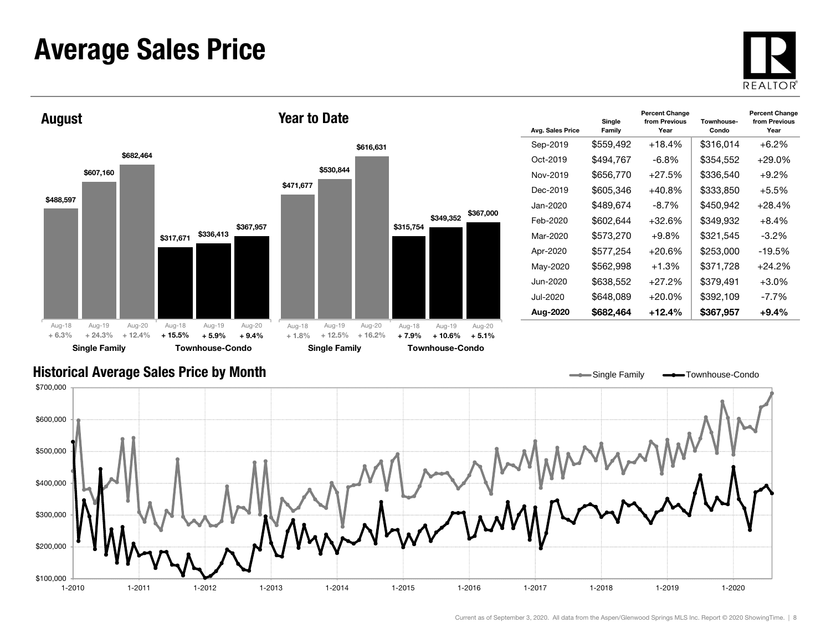#### Average Sales Price





| Avg. Sales Price | Single<br>Family | <b>Percent Change</b><br>from Previous<br>Year | Townhouse-<br>Condo | <b>Percent Change</b><br>from Previous<br>Year |
|------------------|------------------|------------------------------------------------|---------------------|------------------------------------------------|
| Sep-2019         | \$559,492        | $+18.4%$                                       | \$316,014           | $+6.2%$                                        |
| Oct-2019         | \$494,767        | $-6.8\%$                                       | \$354,552           | +29.0%                                         |
| Nov-2019         | \$656,770        | $+27.5%$                                       | \$336,540           | $+9.2\%$                                       |
| Dec-2019         | \$605.346        | $+40.8%$                                       | \$333.850           | $+5.5%$                                        |
| Jan-2020.        | \$489,674        | $-8.7\%$                                       | \$450,942           | +28.4%                                         |
| Feb-2020         | \$602,644        | +32.6%                                         | \$349,932           | $+8.4\%$                                       |
| Mar-2020         | \$573,270        | $+9.8%$                                        | \$321,545           | $-3.2\%$                                       |
| Apr-2020         | \$577,254        | +20.6%                                         | \$253,000           | $-19.5%$                                       |
| May-2020         | \$562,998        | $+1.3%$                                        | \$371,728           | +24.2%                                         |
| Jun-2020         | \$638,552        | $+27.2%$                                       | \$379,491           | $+3.0%$                                        |
| Jul-2020         | \$648,089        | $+20.0%$                                       | \$392,109           | $-7.7%$                                        |
| Aug-2020         | \$682,464        | $+12.4\%$                                      | \$367,957           | +9.4%                                          |

#### Historical Average Sales Price by Month



 $\overline{\phantom{0}}$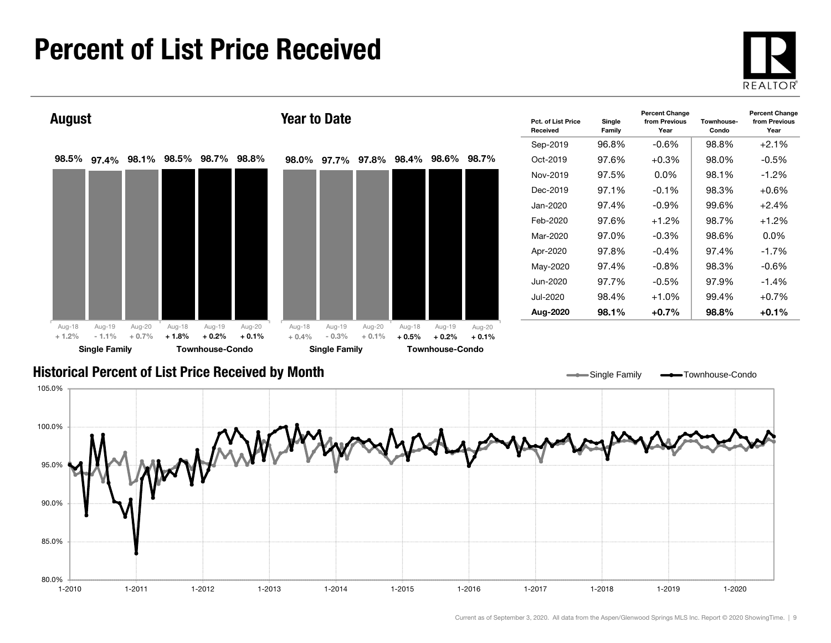### Percent of List Price Received

80.0%

85.0%





1-2010 1-2011 1-2012 1-2013 1-2014 1-2015 1-2016 1-2017 1-2018 1-2019 1-2020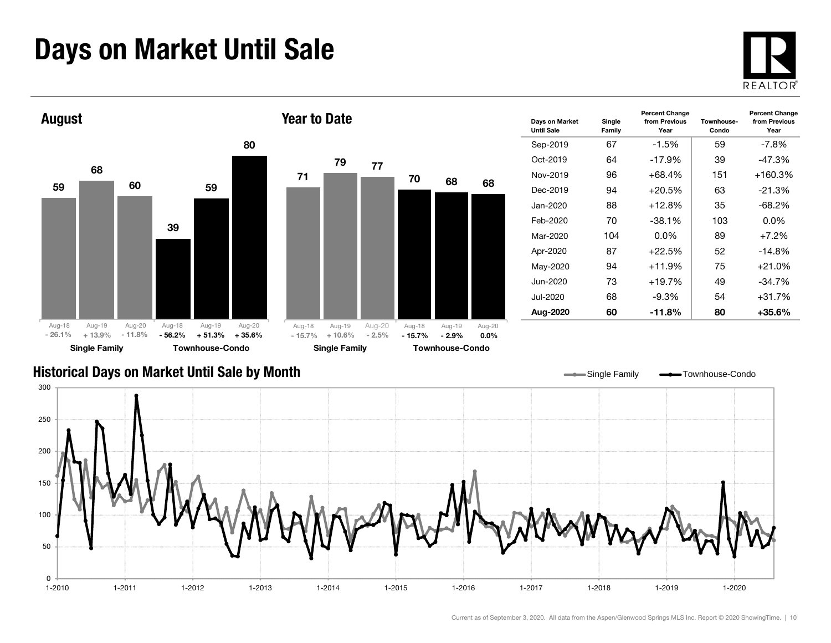### Days on Market Until Sale



Percent Change from Previous Year



#### Historical Days on Market Until Sale by Month



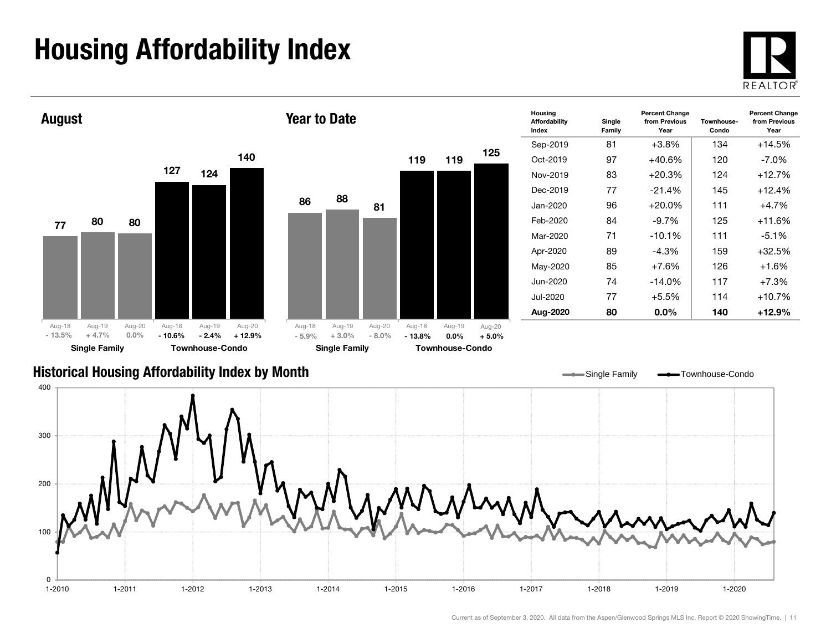## Housing Affordability Index



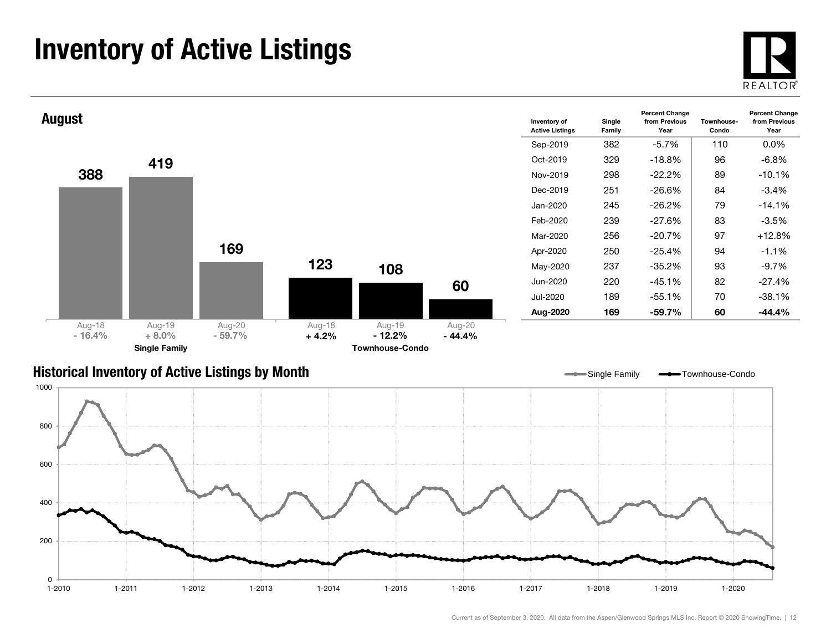### Inventory of Active Listings





#### Historical Inventory of Active Listings by Month

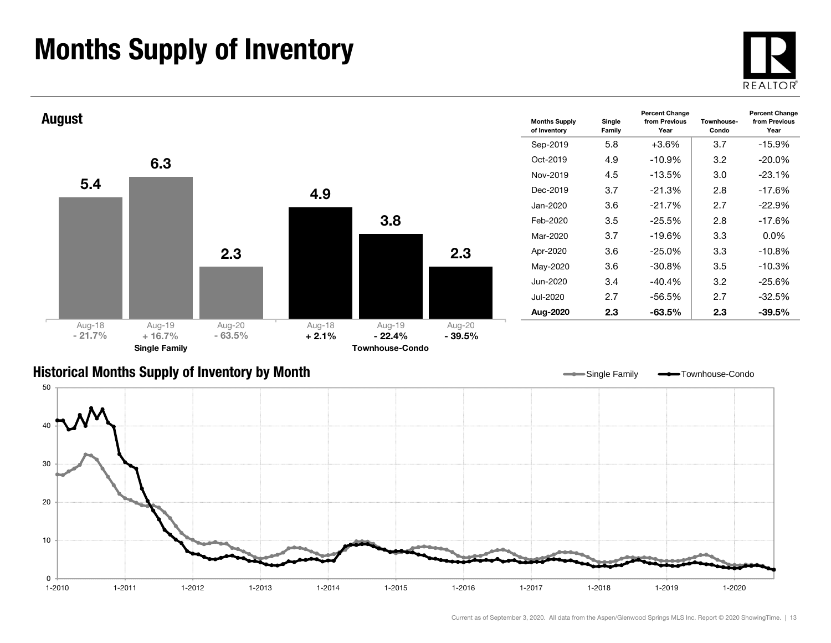### Months Supply of Inventory





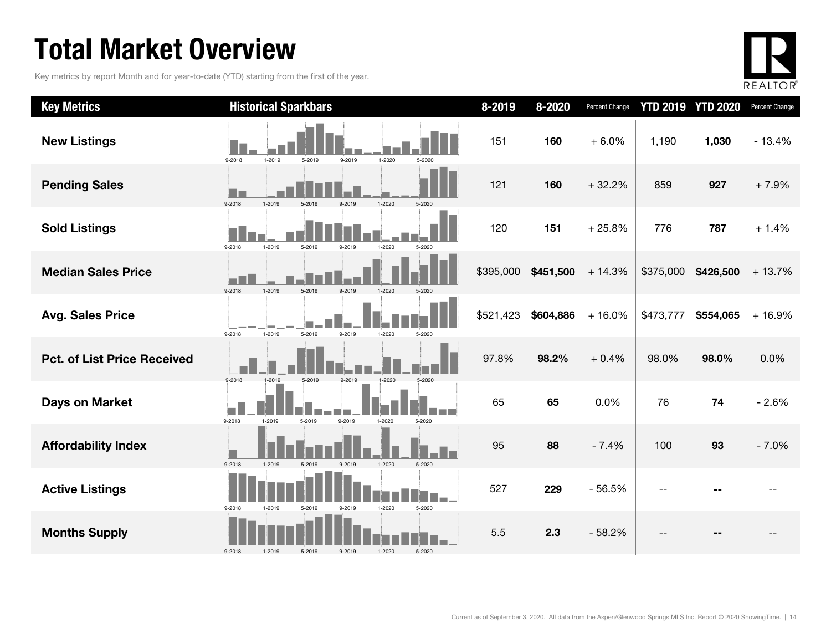### Total Market Overview

Key metrics by report Month and for year-to-date (YTD) starting from the first of the year.



| <b>Key Metrics</b>                 | <b>Historical Sparkbars</b>                                      | 8-2019    | 8-2020    | Percent Change |           | <b>YTD 2019 YTD 2020</b> | Percent Change |
|------------------------------------|------------------------------------------------------------------|-----------|-----------|----------------|-----------|--------------------------|----------------|
| <b>New Listings</b>                | 9-2018<br>1-2019<br>5-2019<br>9-2019<br>$1 - 2020$<br>5-2020     | 151       | 160       | $+6.0%$        | 1,190     | 1,030                    | $-13.4%$       |
| <b>Pending Sales</b>               | 9-2018<br>1-2020<br>1-2019<br>5-2020<br>5-2019<br>9-2019         | 121       | 160       | $+32.2%$       | 859       | 927                      | $+7.9%$        |
| <b>Sold Listings</b>               | $9 - 2018$<br>1-2019<br>5-2019<br>9-2019<br>1-2020<br>5-2020     | 120       | 151       | $+25.8%$       | 776       | 787                      | $+1.4%$        |
| <b>Median Sales Price</b>          | 9-2018<br>1-2019<br>1-2020<br>5-2019<br>9-2019                   | \$395,000 | \$451,500 | $+14.3%$       | \$375,000 | \$426,500                | $+13.7%$       |
| <b>Avg. Sales Price</b>            | 9-2018<br>1-2019<br>5-2019<br>9-2019<br>$1 - 2020$<br>5-2020     | \$521,423 | \$604,886 | $+16.0%$       | \$473,777 | \$554,065                | $+16.9%$       |
| <b>Pct. of List Price Received</b> | 9-2018<br>1-2019<br>9-2019<br>5-2019<br>1-2020<br>5-2020         | 97.8%     | 98.2%     | $+0.4%$        | 98.0%     | 98.0%                    | 0.0%           |
| <b>Days on Market</b>              | 9-2019<br>9-2018<br>1-2019<br>5-2019<br>1-2020<br>5-2020         | 65        | 65        | 0.0%           | 76        | 74                       | $-2.6%$        |
| <b>Affordability Index</b>         | 9-2018<br>1-2019<br>5-2019<br>$1 - 2020$<br>$5 - 2020$<br>9-2019 | 95        | 88        | $-7.4%$        | 100       | 93                       | $-7.0%$        |
| <b>Active Listings</b>             | $9 - 2018$<br>1-2020<br>5-2020<br>1-2019<br>5-2019<br>9-2019     | 527       | 229       | $-56.5%$       |           |                          |                |
| <b>Months Supply</b>               | $9 - 2018$<br>5-2019<br>9-2019<br>1-2020<br>5-2020<br>1-2019     | 5.5       | 2.3       | $-58.2%$       |           |                          |                |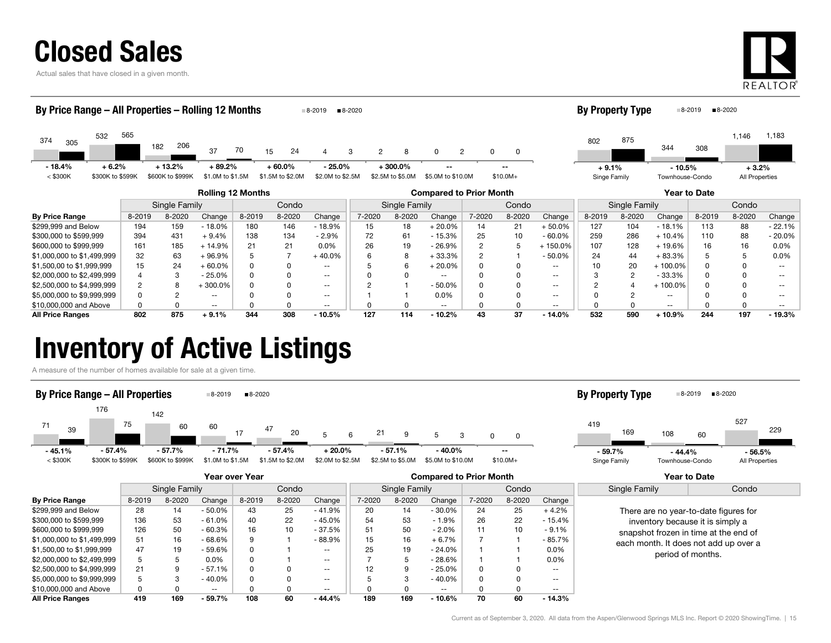

Actual sales that have closed in a given month.



| By Price Range - All Properties - Rolling 12 Months |                                                                            |                  |                   |        |                  | 8-2019           | ■8-2020             |                  |                          |                |           |                          | <b>By Property Type</b> |                        |                          | ■8-2019      | ■8-2020        |           |
|-----------------------------------------------------|----------------------------------------------------------------------------|------------------|-------------------|--------|------------------|------------------|---------------------|------------------|--------------------------|----------------|-----------|--------------------------|-------------------------|------------------------|--------------------------|--------------|----------------|-----------|
| 532<br>374<br>305                                   | 565                                                                        | 206<br>182       | 37                | 70     | 24<br>15         |                  | 3<br>$\overline{2}$ | 8                | $\Omega$                 | $\overline{2}$ | 0         |                          | 802                     | 875                    | 344                      | 308          | 1,146          | 1,183     |
| $+6.2%$<br>$-18.4%$                                 |                                                                            | $+13.2%$         | $+89.2%$          |        | + 60.0%          | $-25.0\%$        |                     | +300.0%          |                          |                |           |                          | $+9.1%$                 |                        | $-10.5%$                 |              | $+3.2%$        |           |
| $<$ \$300K<br>\$300K to \$599K                      |                                                                            | \$600K to \$999K | \$1.0M to \$1.5M  |        | \$1.5M to \$2.0M | \$2.0M to \$2.5M |                     | \$2.5M to \$5.0M | \$5.0M to \$10.0M        |                | $$10.0M+$ |                          | Singe Family            |                        | Townhouse-Condo          |              | All Properties |           |
|                                                     | <b>Rolling 12 Months</b><br><b>Compared to Prior Month</b><br>Year to Date |                  |                   |        |                  |                  |                     |                  |                          |                |           |                          |                         |                        |                          |              |                |           |
|                                                     |                                                                            | Single Family    |                   |        | Condo            |                  |                     | Single Family    |                          |                | Condo     |                          |                         | Condo<br>Single Family |                          |              |                |           |
| <b>By Price Range</b>                               | 8-2019                                                                     | 8-2020           | Change            | 8-2019 | 8-2020           | Change           | 7-2020              | 8-2020           | Change                   | 7-2020         | 8-2020    | Change                   | 8-2019                  | 8-2020                 | Change                   | 8-2019       | 8-2020         | Change    |
| \$299,999 and Below                                 | 194                                                                        | 159              | $-18.0%$          | 180    | 146              | - 18.9%          | 15                  | 18               | $+20.0%$                 | 14             | 21        | $+50.0%$                 | 127                     | 104                    | $-18.1%$                 | 113          | 88             | $-22.1%$  |
| \$300,000 to \$599,999                              | 394                                                                        | 431              | $+9.4%$           | 138    | 134              | $-2.9%$          | 72                  | 61               | $-15.3%$                 | 25             | 10        | $-60.0%$                 | 259                     | 286                    | $+10.4%$                 | 110          | 88             | $-20.0\%$ |
| \$600,000 to \$999,999                              | 161                                                                        | 185              | $+14.9%$          | 21     | 21               | 0.0%             | 26                  | 19               | $-26.9%$                 | $\overline{2}$ | 5         | +150.0%                  | 107                     | 128                    | $+19.6%$                 | 16           | 16             | 0.0%      |
| \$1,000,000 to \$1,499,999                          | 32                                                                         | 63               | +96.9%            |        |                  | $+40.0%$         |                     | 8                | $+33.3%$                 |                |           | $-50.0%$                 | 24                      | 44                     | $+83.3%$                 |              |                | 0.0%      |
| \$1,500,00 to \$1,999,999                           | 15                                                                         | 24               | $+60.0%$          | 0      |                  | --               |                     | 6                | $+20.0%$                 |                |           | $- -$                    | 10                      | 20                     | $+100.0\%$               |              |                |           |
| \$2,000,000 to \$2,499,999                          |                                                                            | 3                | $-25.0%$          | 0      |                  | $- -$            |                     | $\Omega$         | $\overline{\phantom{m}}$ |                |           | $\sim$ $\sim$            |                         | $\overline{2}$         | - 33.3%                  | 0            |                |           |
| \$2,500,000 to \$4,999,999                          |                                                                            | 8                | $+300.0\%$        | 0      |                  | $- -$            | C                   |                  | $-50.0%$                 |                |           | $\sim$ $\sim$            | റ                       |                        | $+100.0\%$               |              |                |           |
| \$5,000,000 to \$9,999,999                          |                                                                            |                  | --                |        |                  | $- -$            |                     |                  | $0.0\%$                  |                |           | $\sim$ $\sim$            |                         |                        | $\overline{\phantom{a}}$ |              |                | --        |
| \$10,000,000 and Above                              |                                                                            |                  | $\qquad \qquad -$ |        | n                | $- -$            |                     | O                | $\overline{\phantom{a}}$ |                |           | $\overline{\phantom{m}}$ |                         |                        | $\overline{\phantom{a}}$ | <sup>0</sup> |                | --        |
| <b>All Price Ranges</b>                             | 802                                                                        | 875              | $+9.1%$           | 344    | 308              | $-10.5%$         | 127                 | 114              | $-10.2%$                 | 43             | 37        | $-14.0%$                 | 532                     | 590                    | $+10.9%$                 | 244          | 197            | $-19.3%$  |

All Price Ranges 802 875 + 9.1% 344 308 - 10.5% 127 114 - 10.2% 43 37 - 14.0% 532 590 + 10.9% 244 197 - 19.3%

### Inventory of Active Listings

A measure of the number of homes available for sale at a given time.



|                            |        |               |           | Year over Year |        |                          | <b>Compared to Prior Month</b> |               |                   |        |        |               | Year to Date  |                                                                                                                    |  |  |
|----------------------------|--------|---------------|-----------|----------------|--------|--------------------------|--------------------------------|---------------|-------------------|--------|--------|---------------|---------------|--------------------------------------------------------------------------------------------------------------------|--|--|
|                            |        | Single Family |           |                | Condo  |                          |                                | Single Family |                   |        | Condo  |               | Single Family | Condo                                                                                                              |  |  |
| <b>By Price Range</b>      | 8-2019 | 8-2020        | Change    | 8-2019         | 8-2020 | Change                   | 7-2020                         | 8-2020        | Change            | 7-2020 | 8-2020 | Change        |               |                                                                                                                    |  |  |
| \$299,999 and Below        | 28     | 14            | $-50.0\%$ | 43             | 25     | $-41.9%$                 | 20                             | 14            | $-30.0\%$         | 24     | 25     | $+4.2%$       |               | There are no year-to-date figures for<br>inventory because it is simply a<br>snapshot frozen in time at the end of |  |  |
| \$300,000 to \$599,999     | 136    | 53            | $-61.0%$  | 40             | 22     | $-45.0%$                 | 54                             | 53            | $-1.9%$           | 26     | 22     | $-15.4%$      |               |                                                                                                                    |  |  |
| \$600,000 to \$999,999     | 126    | 50            | $-60.3%$  | 16             | 10     | $-37.5%$                 | 51                             | 50            | $-2.0%$           | 11     | 10     | $-9.1%$       |               |                                                                                                                    |  |  |
| \$1,000,000 to \$1,499,999 | 51     | 16            | $-68.6%$  | 9              |        | $-88.9%$                 | 15                             | 16            | $+6.7%$           |        |        | - 85.7%       |               | each month. It does not add up over a                                                                              |  |  |
| \$1,500,00 to \$1,999,999  | 47     | 19            | - 59.6%   | 0              |        | $\sim$                   | 25                             | 19            | $-24.0\%$         |        |        | $0.0\%$       |               | period of months.                                                                                                  |  |  |
| \$2,000,000 to \$2,499,999 |        |               | $0.0\%$   |                |        | $\overline{\phantom{a}}$ |                                |               | $-28.6%$          |        |        | $0.0\%$       |               |                                                                                                                    |  |  |
| \$2,500,000 to \$4,999,999 | 21     |               | $-57.1%$  |                |        | $\overline{\phantom{a}}$ | 12                             | 9             | $-25.0\%$         |        |        | $\sim$ $\sim$ |               |                                                                                                                    |  |  |
| \$5,000,000 to \$9,999,999 |        |               | $-40.0%$  |                |        | $\overline{\phantom{a}}$ |                                |               | $-40.0%$          |        |        | $- -$         |               |                                                                                                                    |  |  |
| \$10,000,000 and Above     |        |               | $- -$     |                |        | $\overline{\phantom{a}}$ |                                |               | $\qquad \qquad -$ |        |        | $- -$         |               |                                                                                                                    |  |  |
| <b>All Price Ranges</b>    | 419    | 169           | $-59.7%$  | 108            | 60     | $-44.4%$                 | 189                            | 169           | $-10.6%$          | 70     | 60     | $-14.3\%$     |               |                                                                                                                    |  |  |